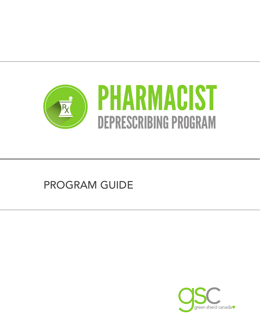

# PROGRAM GUIDE

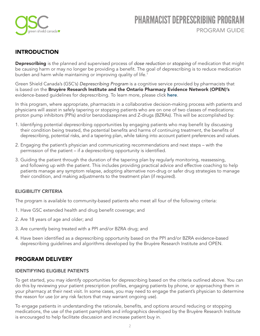

### INTRODUCTION

Deprescribing is the planned and supervised process of *dose reduction* or *stopping* of medication that might be causing harm or may no longer be providing a beneft. The goal of deprescribing is to reduce medication burden and harm while maintaining or improving quality of life.<sup>1</sup>

Green Shield Canada's (GSC's) *Deprescribing Program* is a cognitive service provided by pharmacists that is based on the Bruyère Research Institute and the Ontario Pharmacy Evidence Network (OPEN)'s evidence-based quidelines for deprescribing. To learn more, please click here.

In this program, where appropriate, pharmacists in a collaborative decision-making process with patients and physicians will assist in safely tapering or stopping patients who are on one of two classes of medications: proton pump inhibitors (PPIs) and/or benzodiazepines and Z-drugs (BZRAs). This will be accomplished by:

- 1. Identifying potential deprescribing opportunities by engaging patients who may beneft by discussing their condition being treated, the potential benefits and harms of continuing treatment, the benefits of deprescribing, potential risks, and a tapering plan, while taking into account patient preferences and values.
- 2. Engaging the patient's physician and communicating recommendations and next steps with the permission of the patient – if a deprescribing opportunity is identifed.
- 3. Guiding the patient through the duration of the tapering plan by regularly monitoring, reassessing, and following up with the patient. This includes providing practical advice and effective coaching to help patients manage any symptom relapse, adopting alternative non-drug or safer drug strategies to manage their condition, and making adjustments to the treatment plan (if required).

### ELIGIBILITY CRITERIA

The program is available to community-based patients who meet all four of the following criteria:

- 1. Have GSC extended health and drug benefit coverage; and
- 2. Are 18 years of age and older; and
- 3. Are currently being treated with a PPI and/or BZRA drug; and
- 4. Have been identifed as a deprescribing opportunity based on the PPI and/or BZRA evidence-based deprescribing guidelines and algorithms developed by the Bruyère Research Institute and OPEN.

### PROGRAM DELIVERY

### IDENTIFYING ELIGIBLE PATIENTS

To get started, you may identify opportunities for deprescribing based on the criteria outlined above. You can do this by reviewing your patient prescription profles, engaging patients by phone, or approaching them in your pharmacy at their next visit. In some cases, you may need to engage the patient's physician to determine the reason for use (or any risk factors that may warrant ongoing use).

To engage patients in understanding the rationale, benefits, and options around reducing or stopping medications, the use of the patient pamphlets and infographics developed by the Bruyère Research Institute is encouraged to help facilitate discussion and increase patient buy in.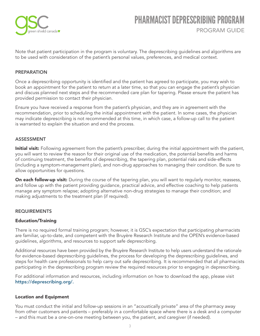

Note that patient participation in the program is voluntary. The deprescribing guidelines and algorithms are to be used with consideration of the patient's personal values, preferences, and medical context.

### PREPARATION

Once a deprescribing opportunity is identifed and the patient has agreed to participate, you may wish to book an appointment for the patient to return at a later time, so that you can engage the patient's physician and discuss planned next steps and the recommended care plan for tapering. Please ensure the patient has provided permission to contact their physician.

Ensure you have received a response from the patient's physician, and they are in agreement with the recommendation, prior to scheduling the initial appointment with the patient. In some cases, the physician may indicate deprescribing is not recommended at this time, in which case, a follow-up call to the patient is warranted to explain the situation and end the process.

#### ASSESSMENT

Initial visit: Following agreement from the patient's prescriber, during the initial appointment with the patient, you will want to review the reason for their original use of the medication, the potential benefits and harms of continuing treatment, the benefts of deprescribing, the tapering plan, potential risks and side-effects (including a symptom-management plan), and non-drug approaches to managing their condition. Be sure to allow opportunities for questions.

On each follow-up visit: During the course of the tapering plan, you will want to regularly monitor, reassess, and follow up with the patient providing guidance, practical advice, and effective coaching to help patients manage any symptom relapse; adopting alternative non-drug strategies to manage their condition; and making adjustments to the treatment plan (if required).

#### REQUIREMENTS

#### Education/Training

There is no required formal training program; however, it is GSC's expectation that participating pharmacists are familiar, up-to-date, and competent with the Bruyère Research Institute and the OPEN's evidence-based guidelines, algorithms, and resources to support safe deprescribing.

Additional resources have been provided by the Bruyère Research Institute to help users understand the rationale for evidence-based deprescribing guidelines, the process for developing the deprescribing guidelines, and steps for health care professionals to help carry out safe deprescribing. It is recommended that all pharmacists participating in the deprescribing program review the required resources prior to engaging in deprescribing.

For additional information and resources, including information on how to download the app, please visit [https://deprescribing.org/.](https://deprescribing.org/)

#### Location and Equipment

You must conduct the initial and follow-up sessions in an "acoustically private" area of the pharmacy away from other customers and patients – preferably in a comfortable space where there is a desk and a computer – and this must be a one-on-one meeting between you, the patient, and caregiver (if needed).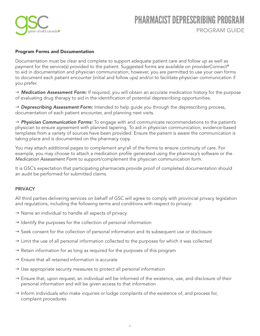

### Program Forms and Documentation

Documentation must be clear and complete to support adequate patient care and follow up as well as payment for the service(s) provided to the patient. Suggested forms are available on providerConnect® to aid in documentation and physician communication; however, you are permitted to use your own forms to document each patient encounter (initial and follow ups) and/or to facilitate physician communication if you prefer.

→ **Medication Assessment Form:** If required, you will obtain an accurate medication history for the purpose of evaluating drug therapy to aid in the identifcation of potential deprescribing opportunities.

→ **Deprescribing Assessment Form:** Intended to help guide you through the deprescribing process, documentation of each patient encounter, and planning next visits.

→ **Physician Communication Forms:** To engage with and communicate recommendations to the patient's physician to ensure agreement with planned tapering. To aid in physician communication, evidence-based templates from a variety of sources have been provided. Ensure the patient is aware the communication is taking place and is documented on the pharmacy copy.

You may attach additional pages to complement any/all of the forms to ensure continuity of care. For example, you may choose to attach a medication profile generated using the pharmacy's software or the *Medication Assessment Form* to support/complement the physician communication form.

It is GSC's expectation that participating pharmacists provide proof of completed documentation should an audit be performed for submitted claims.

### **PRIVACY**

All third parties delivering services on behalf of GSC will agree to comply with provincial privacy legislation and regulations, including the following terms and conditions with respect to privacy:

- $\rightarrow$  Name an individual to handle all aspects of privacy
- $\rightarrow$  Identify the purposes for the collection of personal information
- $\rightarrow$  Seek consent for the collection of personal information and its subsequent use or disclosure
- $\rightarrow$  Limit the use of all personal information collected to the purposes for which it was collected
- $\rightarrow$  Retain information for as long as required for the purposes of this program
- $\rightarrow$  Ensure that all retained information is accurate
- $\rightarrow$  Use appropriate security measures to protect all personal information
- $\rightarrow$  Ensure that, upon request, an individual will be informed of the existence, use, and disclosure of their personal information and will be given access to that information
- $\rightarrow$  Inform individuals who make inquiries or lodge complaints of the existence of, and process for, complaint procedures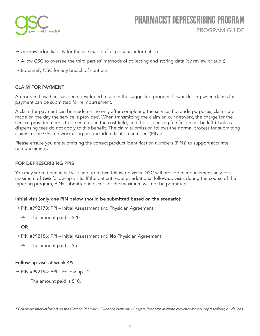

- $\rightarrow$  Acknowledge liability for the use made of all personal information
- $\rightarrow$  Allow GSC to oversee the third parties' methods of collecting and storing data (by review or audit)
- $\rightarrow$  Indemnify GSC for any breach of contract

### CLAIM FOR PAYMENT

A program flowchart has been developed to aid in the suggested program flow including when claims for payment can be submitted for reimbursement.

A claim for payment can be made online only after completing the service. For audit purposes, claims are made on the day the service is provided. When transmitting the claim on our network, the charge for the service provided needs to be entered in the cost field, and the dispensing fee field must be left blank as dispensing fees do not apply to this beneft. The claim submission follows the normal process for submitting claims to the GSC network using product identifcation numbers (PINs).

Please ensure you are submitting the correct product identification numbers (PINs) to support accurate reimbursement.

### FOR DEPRESCRIBING PPIS

You may submit one initial visit and up to two follow-up visits. GSC will provide reimbursement only for a maximum of two follow-up visits. If the patient requires additional follow-up visits during the course of the tapering program, PINs submitted in excess of the maximum will not be permitted.

### Initial visit (only *one* PIN below should be submitted based on the scenario):

- $\rightarrow$  PIN #992178: PPI Initial Assessment and Physician Agreement
	- $\rightarrow$  The amount paid is \$20.

### OR

- $\rightarrow$  PIN #992186: PPI Initial Assessment and No Physician Agreement
	- $\rightarrow$  The amount paid is \$5.

### Follow-up visit at week 4\*:

- $\rightarrow$  PIN #992194: PPI Follow-up #1
	- $\rightarrow$  The amount paid is \$10.

*<sup>\*</sup> Follow-up interval based on the Ontario Pharmacy Evidence Network / Bruyere Research Institute evidence-based deprescribing guidelines*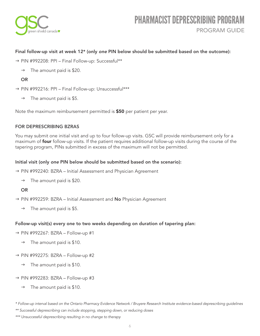

### Final follow-up visit at week 12\* (only *one* PIN below should be submitted based on the outcome):

- → PIN #992208: PPI Final Follow-up: Successful\*\*
	- $\rightarrow$  The amount paid is \$20.

### OR

- → PIN #992216: PPI Final Follow-up: Unsuccessful\*\*\*
	- $\rightarrow$  The amount paid is \$5.

Note the maximum reimbursement permitted is \$50 per patient per year.

### FOR DEPRESCRIBING BZRAS

You may submit one initial visit and up to four follow-up visits. GSC will provide reimbursement only for a maximum of **four** follow-up visits. If the patient requires additional follow-up visits during the course of the tapering program, PINs submitted in excess of the maximum will not be permitted.

### Initial visit (only *one* PIN below should be submitted based on the scenario):

- $\rightarrow$  PIN #992240: BZRA Initial Assessment and Physician Agreement
	- $\rightarrow$  The amount paid is \$20.

### OR

- $\rightarrow$  PIN #992259: BZRA Initial Assessment and No Physician Agreement
	- $\rightarrow$  The amount paid is \$5.

### Follow-up visit(s) every one to two weeks depending on duration of tapering plan:

- $\rightarrow$  PIN #992267: BZRA Follow-up #1
	- $\rightarrow$  The amount paid is \$10.
- $\rightarrow$  PIN #992275: BZRA Follow-up #2
	- $\rightarrow$  The amount paid is \$10.
- $\rightarrow$  PIN #992283: BZRA Follow-up #3
	- $\rightarrow$  The amount paid is \$10.

*\*\* Successful deprescribing can include stopping, stepping down, or reducing doses*

*<sup>\*</sup> Follow-up interval based on the Ontario Pharmacy Evidence Network / Bruyere Research Institute evidence-based deprescribing guidelines*

*<sup>\*\*\*</sup> Unsuccessful deprescribing resulting in no change to therapy*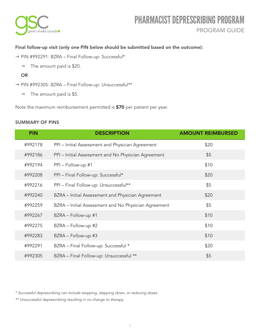

### Final follow-up visit (only *one* PIN below should be submitted based on the outcome):

- → PIN #992291: BZRA Final Follow-up: Successful\*
	- $\rightarrow$  The amount paid is \$20.

### OR

- → PIN #992305: BZRA Final Follow-up: Unsuccessful\*\*
	- $\rightarrow$  The amount paid is \$5.

Note the maximum reimbursement permitted is \$70 per patient per year.

### SUMMARY OF PINS

| <b>PIN</b> | <b>DESCRIPTION</b>                                   | <b>AMOUNT REIMBURSED</b> |
|------------|------------------------------------------------------|--------------------------|
| #992178    | PPI - Initial Assessment and Physician Agreement     | \$20                     |
| #992186    | PPI - Initial Assessment and No Physician Agreement  | \$5                      |
| #992194    | PPI - Follow-up #1                                   | \$10                     |
| #992208    | PPI - Final Follow-up: Successful*                   | \$20                     |
| #992216    | PPI - Final Follow-up: Unsuccessful**                | \$5                      |
| #992240    | BZRA - Initial Assessment and Physician Agreement    | \$20                     |
| #992259    | BZRA - Initial Assessment and No Physician Agreement | \$5                      |
| #992267    | BZRA – Follow-up #1                                  | \$10                     |
| #992275    | BZRA - Follow-up #2                                  | \$10                     |
| #992283    | BZRA – Follow-up #3                                  | \$10                     |
| #992291    | BZRA - Final Follow-up: Successful *                 | \$20                     |
| #992305    | BZRA - Final Follow-up: Unsuccessful **              | \$5                      |

*\* Successful deprescribing can include stopping, stepping down, or reducing doses*

*\*\* Unsuccessful deprescribing resulting in no change to therapy*